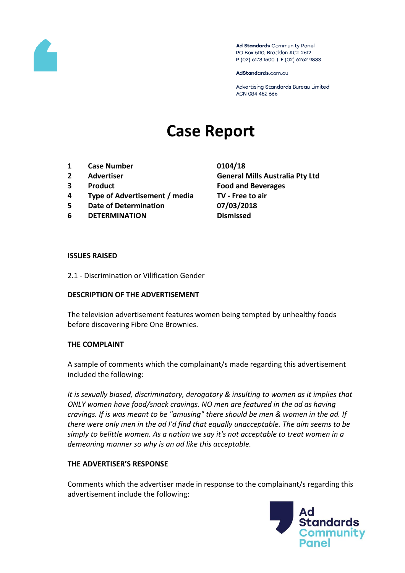

Ad Standards Community Panel PO Box 5110, Braddon ACT 2612 P (02) 6173 1500 | F (02) 6262 9833

AdStandards.com.au

Advertising Standards Bureau Limited ACN 084 452 666

# **Case Report**

- **1 Case Number 0104/18**
- 
- 
- **4 Type of Advertisement / media TV - Free to air**
- **5 Date of Determination 07/03/2018**
- **6 DETERMINATION Dismissed**

**2 Advertiser General Mills Australia Pty Ltd 3 Product Food and Beverages**

#### **ISSUES RAISED**

2.1 - Discrimination or Vilification Gender

## **DESCRIPTION OF THE ADVERTISEMENT**

The television advertisement features women being tempted by unhealthy foods before discovering Fibre One Brownies.

## **THE COMPLAINT**

A sample of comments which the complainant/s made regarding this advertisement included the following:

*It is sexually biased, discriminatory, derogatory & insulting to women as it implies that ONLY women have food/snack cravings. NO men are featured in the ad as having cravings. If is was meant to be "amusing" there should be men & women in the ad. If there were only men in the ad I'd find that equally unacceptable. The aim seems to be simply to belittle women. As a nation we say it's not acceptable to treat women in a demeaning manner so why is an ad like this acceptable.* 

## **THE ADVERTISER'S RESPONSE**

Comments which the advertiser made in response to the complainant/s regarding this advertisement include the following:

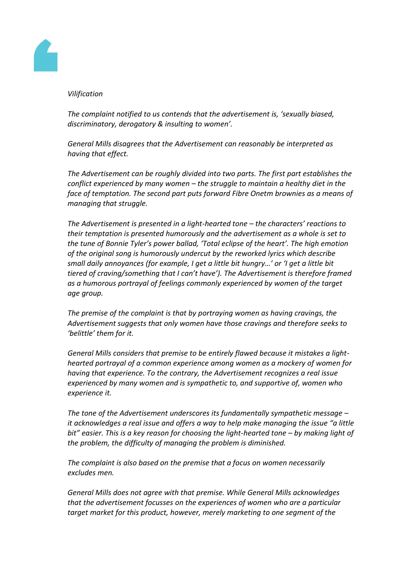

## *Vilification*

*The complaint notified to us contends that the advertisement is, 'sexually biased, discriminatory, derogatory & insulting to women'.*

*General Mills disagrees that the Advertisement can reasonably be interpreted as having that effect.*

*The Advertisement can be roughly divided into two parts. The first part establishes the conflict experienced by many women – the struggle to maintain a healthy diet in the face of temptation. The second part puts forward Fibre Onetm brownies as a means of managing that struggle.*

*The Advertisement is presented in a light-hearted tone – the characters' reactions to their temptation is presented humorously and the advertisement as a whole is set to the tune of Bonnie Tyler's power ballad, 'Total eclipse of the heart'. The high emotion of the original song is humorously undercut by the reworked lyrics which describe small daily annoyances (for example, I get a little bit hungry…' or 'I get a little bit tiered of craving/something that I can't have'). The Advertisement is therefore framed as a humorous portrayal of feelings commonly experienced by women of the target age group.*

*The premise of the complaint is that by portraying women as having cravings, the Advertisement suggests that only women have those cravings and therefore seeks to 'belittle' them for it.*

*General Mills considers that premise to be entirely flawed because it mistakes a lighthearted portrayal of a common experience among women as a mockery of women for having that experience. To the contrary, the Advertisement recognizes a real issue experienced by many women and is sympathetic to, and supportive of, women who experience it.*

*The tone of the Advertisement underscores its fundamentally sympathetic message – it acknowledges a real issue and offers a way to help make managing the issue "a little bit" easier. This is a key reason for choosing the light-hearted tone – by making light of the problem, the difficulty of managing the problem is diminished.*

*The complaint is also based on the premise that a focus on women necessarily excludes men.*

*General Mills does not agree with that premise. While General Mills acknowledges that the advertisement focusses on the experiences of women who are a particular target market for this product, however, merely marketing to one segment of the*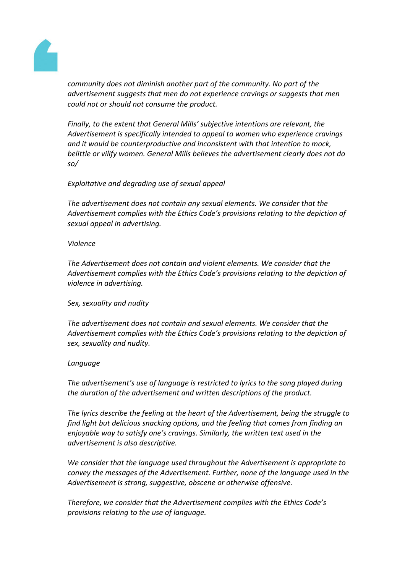

*community does not diminish another part of the community. No part of the advertisement suggests that men do not experience cravings or suggests that men could not or should not consume the product.*

*Finally, to the extent that General Mills' subjective intentions are relevant, the Advertisement is specifically intended to appeal to women who experience cravings and it would be counterproductive and inconsistent with that intention to mock, belittle or vilify women. General Mills believes the advertisement clearly does not do so/*

## *Exploitative and degrading use of sexual appeal*

*The advertisement does not contain any sexual elements. We consider that the Advertisement complies with the Ethics Code's provisions relating to the depiction of sexual appeal in advertising.*

## *Violence*

*The Advertisement does not contain and violent elements. We consider that the Advertisement complies with the Ethics Code's provisions relating to the depiction of violence in advertising.*

## *Sex, sexuality and nudity*

*The advertisement does not contain and sexual elements. We consider that the Advertisement complies with the Ethics Code's provisions relating to the depiction of sex, sexuality and nudity.*

## *Language*

*The advertisement's use of language is restricted to lyrics to the song played during the duration of the advertisement and written descriptions of the product.*

*The lyrics describe the feeling at the heart of the Advertisement, being the struggle to find light but delicious snacking options, and the feeling that comes from finding an enjoyable way to satisfy one's cravings. Similarly, the written text used in the advertisement is also descriptive.*

*We consider that the language used throughout the Advertisement is appropriate to convey the messages of the Advertisement. Further, none of the language used in the Advertisement is strong, suggestive, obscene or otherwise offensive.*

*Therefore, we consider that the Advertisement complies with the Ethics Code's provisions relating to the use of language.*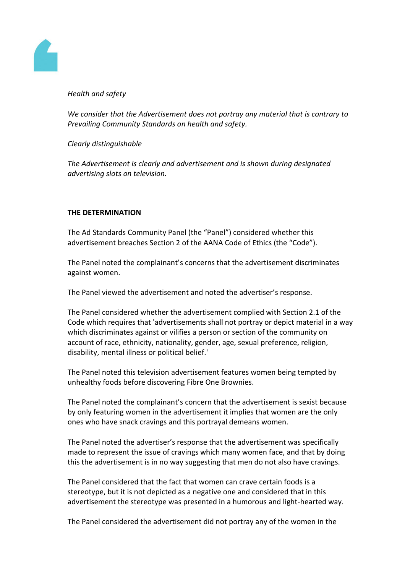

## *Health and safety*

*We consider that the Advertisement does not portray any material that is contrary to Prevailing Community Standards on health and safety.*

*Clearly distinguishable*

*The Advertisement is clearly and advertisement and is shown during designated advertising slots on television.*

## **THE DETERMINATION**

The Ad Standards Community Panel (the "Panel") considered whether this advertisement breaches Section 2 of the AANA Code of Ethics (the "Code").

The Panel noted the complainant's concerns that the advertisement discriminates against women.

The Panel viewed the advertisement and noted the advertiser's response.

The Panel considered whether the advertisement complied with Section 2.1 of the Code which requires that 'advertisements shall not portray or depict material in a way which discriminates against or vilifies a person or section of the community on account of race, ethnicity, nationality, gender, age, sexual preference, religion, disability, mental illness or political belief.'

The Panel noted this television advertisement features women being tempted by unhealthy foods before discovering Fibre One Brownies.

The Panel noted the complainant's concern that the advertisement is sexist because by only featuring women in the advertisement it implies that women are the only ones who have snack cravings and this portrayal demeans women.

The Panel noted the advertiser's response that the advertisement was specifically made to represent the issue of cravings which many women face, and that by doing this the advertisement is in no way suggesting that men do not also have cravings.

The Panel considered that the fact that women can crave certain foods is a stereotype, but it is not depicted as a negative one and considered that in this advertisement the stereotype was presented in a humorous and light-hearted way.

The Panel considered the advertisement did not portray any of the women in the